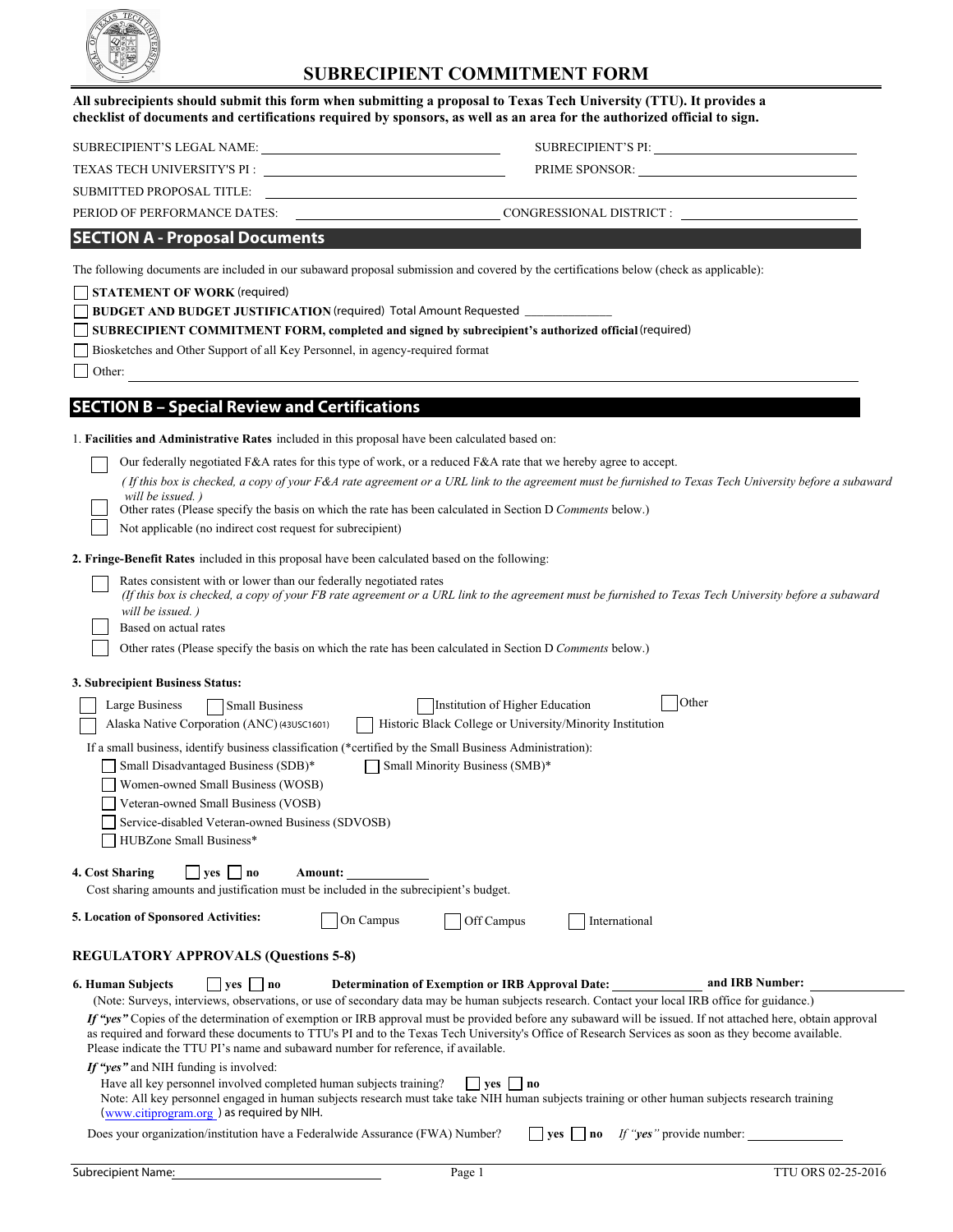

## **SUBRECIPIENT COMMITMENT FORM**

| All subrecipients should submit this form when submitting a proposal to Texas Tech University (TTU). It provides a      |  |
|-------------------------------------------------------------------------------------------------------------------------|--|
| checklist of documents and certifications required by sponsors, as well as an area for the authorized official to sign. |  |

| SUBRECIPIENT'S LEGAL NAME: |  |
|----------------------------|--|
|                            |  |

TEXAS TECH UNIVERSITY'S PI : \_

SUBRECIPIENT'S PI: SUBRECIPIENT'S PI:

| <b>PRIME SPONSOR:</b> |
|-----------------------|
|                       |

SUBMITTED PROPOSAL TITLE:

PERIOD OF PERFORMANCE DATES: CONGRESSIONAL DISTRICT :

#### **SECTION A - Proposal Documents**

The following documents are included in our subaward proposal submission and covered by the certifications below (check as applicable):

**STATEMENT OF WORK** (required)

**BUDGET AND BUDGET JUSTIFICATION** (required) Total Amount Requested \_\_\_\_\_\_\_\_\_\_\_\_\_\_

**SUBRECIPIENT COMMITMENT FORM, completed and signed by subrecipient's authorized official (required)** 

Biosketches and Other Support of all Key Personnel, in agency-required format

Other:

### **SECTION B – Special Review and Certifications**

| 1. Facilities and Administrative Rates included in this proposal have been calculated based on: |  |  |
|-------------------------------------------------------------------------------------------------|--|--|
|-------------------------------------------------------------------------------------------------|--|--|

Our federally negotiated F&A rates for this type of work, or a reduced F&A rate that we hereby agree to accept.

| (If this box is checked, a copy of your F&A rate agreement or a URL link to the agreement must be furnished to Texas Tech University before a subaward |  |
|--------------------------------------------------------------------------------------------------------------------------------------------------------|--|
| will be issued.)                                                                                                                                       |  |

Other rates (Please specify the basis on which the rate has been calculated in Section D *Comments* below.)

Not applicable (no indirect cost request for subrecipient)

**2. Fringe-Benefit Rates** included in this proposal have been calculated based on the following:

 Rates consistent with or lower than our federally negotiated rates *(If this box is checked, a copy of your FB rate agreement or a URL link to the agreement must be furnished to Texas Tech University before a subaward will be issued. )* 

Based on actual rates

Other rates (Please specify the basis on which the rate has been calculated in Section D *Comments* below.)

#### **3. Subrecipient Business Status:**

| Large Business                              | <b>Small Business</b>                                                                                    | Institution of Higher Education                                                                                                                                                                                                                                                                                      | Other           |
|---------------------------------------------|----------------------------------------------------------------------------------------------------------|----------------------------------------------------------------------------------------------------------------------------------------------------------------------------------------------------------------------------------------------------------------------------------------------------------------------|-----------------|
| Alaska Native Corporation (ANC) (43USC1601) |                                                                                                          | Historic Black College or University/Minority Institution                                                                                                                                                                                                                                                            |                 |
|                                             | If a small business, identify business classification (*certified by the Small Business Administration): |                                                                                                                                                                                                                                                                                                                      |                 |
| Small Disadvantaged Business (SDB)*         |                                                                                                          | Small Minority Business (SMB)*                                                                                                                                                                                                                                                                                       |                 |
| Women-owned Small Business (WOSB)           |                                                                                                          |                                                                                                                                                                                                                                                                                                                      |                 |
| Veteran-owned Small Business (VOSB)         |                                                                                                          |                                                                                                                                                                                                                                                                                                                      |                 |
|                                             | Service-disabled Veteran-owned Business (SDVOSB)                                                         |                                                                                                                                                                                                                                                                                                                      |                 |
| HUBZone Small Business*                     |                                                                                                          |                                                                                                                                                                                                                                                                                                                      |                 |
| 4. Cost Sharing<br>$ $ yes $ $   no         | Amount:<br>Cost sharing amounts and justification must be included in the subrecipient's budget.         |                                                                                                                                                                                                                                                                                                                      |                 |
| 5. Location of Sponsored Activities:        | On Campus                                                                                                | Off Campus<br>International                                                                                                                                                                                                                                                                                          |                 |
| <b>REGULATORY APPROVALS (Questions 5-8)</b> |                                                                                                          |                                                                                                                                                                                                                                                                                                                      |                 |
| <b>6. Human Subjects</b>                    | $ $   $ves$   $ $ no                                                                                     | <b>Determination of Exemption or IRB Approval Date:</b>                                                                                                                                                                                                                                                              | and IRB Number: |
|                                             |                                                                                                          | (Note: Surveys, interviews, observations, or use of secondary data may be human subjects research. Contact your local IRB office for guidance.)                                                                                                                                                                      |                 |
|                                             | Please indicate the TTU PI's name and subaward number for reference, if available.                       | If "yes" Copies of the determination of exemption or IRB approval must be provided before any subaward will be issued. If not attached here, obtain approval<br>as required and forward these documents to TTU's PI and to the Texas Tech University's Office of Research Services as soon as they become available. |                 |
| If "yes" and NIH funding is involved:       |                                                                                                          |                                                                                                                                                                                                                                                                                                                      |                 |
| (www.citiprogram.org) as required by NIH.   | Have all key personnel involved completed human subjects training?                                       | $ $ ves $ $ no<br>Note: All key personnel engaged in human subjects research must take take NIH human subjects training or other human subjects research training                                                                                                                                                    |                 |
|                                             |                                                                                                          | $\overline{\phantom{0}}$<br>一                                                                                                                                                                                                                                                                                        |                 |

Does your organization/institution have a Federalwide Assurance (FWA) Number?  $\Box$  yes  $\Box$  no *If "yes"* provide number: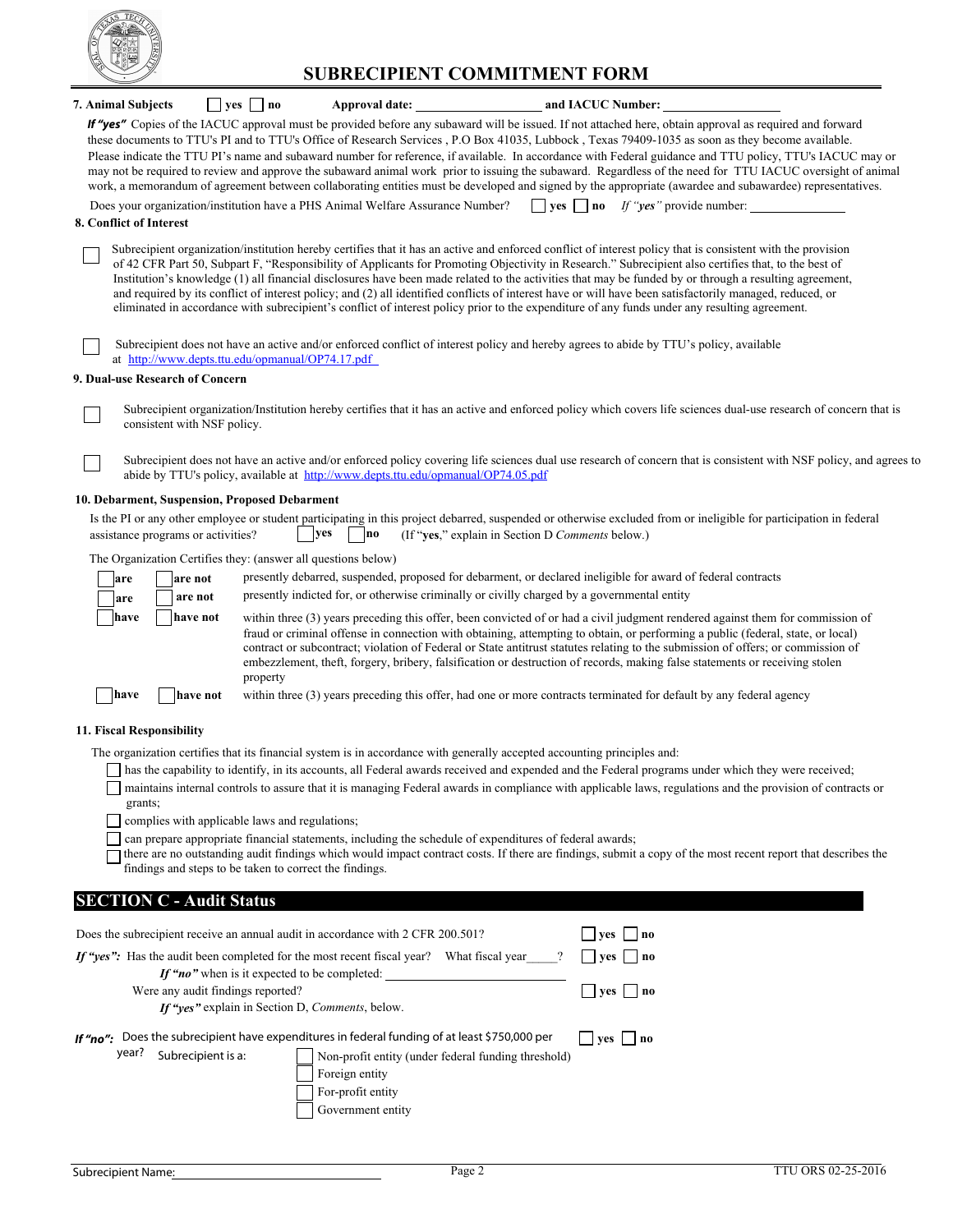

# **SUBRECIPIENT COMMITMENT FORM**

| 7. Animal Subjects                            |                                                | $\Box$ yes $\Box$ no |          |                                                                                                                                                           | Approval date: and IACUC Number:                                                                                         |                                                                                                                                                                                                                                                                                                                                                                                                                                                                                                                                                                                                                                                                                                                                                                                                       |
|-----------------------------------------------|------------------------------------------------|----------------------|----------|-----------------------------------------------------------------------------------------------------------------------------------------------------------|--------------------------------------------------------------------------------------------------------------------------|-------------------------------------------------------------------------------------------------------------------------------------------------------------------------------------------------------------------------------------------------------------------------------------------------------------------------------------------------------------------------------------------------------------------------------------------------------------------------------------------------------------------------------------------------------------------------------------------------------------------------------------------------------------------------------------------------------------------------------------------------------------------------------------------------------|
|                                               |                                                |                      |          |                                                                                                                                                           |                                                                                                                          | If "yes" Copies of the IACUC approval must be provided before any subaward will be issued. If not attached here, obtain approval as required and forward<br>these documents to TTU's PI and to TTU's Office of Research Services , P.O Box 41035, Lubbock , Texas 79409-1035 as soon as they become available.<br>Please indicate the TTU PI's name and subaward number for reference, if available. In accordance with Federal guidance and TTU policy, TTU's IACUC may or<br>may not be required to review and approve the subaward animal work prior to issuing the subaward. Regardless of the need for TTU IACUC oversight of animal<br>work, a memorandum of agreement between collaborating entities must be developed and signed by the appropriate (awardee and subawardee) representatives. |
| 8. Conflict of Interest                       |                                                |                      |          | Does your organization/institution have a PHS Animal Welfare Assurance Number?                                                                            |                                                                                                                          | <b>yes</b> $\Box$ <b>no</b> If " <b>yes</b> " provide number:                                                                                                                                                                                                                                                                                                                                                                                                                                                                                                                                                                                                                                                                                                                                         |
|                                               |                                                |                      |          |                                                                                                                                                           |                                                                                                                          | Subrecipient organization/institution hereby certifies that it has an active and enforced conflict of interest policy that is consistent with the provision<br>of 42 CFR Part 50, Subpart F, "Responsibility of Applicants for Promoting Objectivity in Research." Subrecipient also certifies that, to the best of<br>Institution's knowledge (1) all financial disclosures have been made related to the activities that may be funded by or through a resulting agreement,<br>and required by its conflict of interest policy; and (2) all identified conflicts of interest have or will have been satisfactorily managed, reduced, or<br>eliminated in accordance with subrecipient's conflict of interest policy prior to the expenditure of any funds under any resulting agreement.            |
|                                               |                                                |                      |          | at http://www.depts.ttu.edu/opmanual/OP74.17.pdf                                                                                                          |                                                                                                                          | Subrecipient does not have an active and/or enforced conflict of interest policy and hereby agrees to abide by TTU's policy, available                                                                                                                                                                                                                                                                                                                                                                                                                                                                                                                                                                                                                                                                |
| 9. Dual-use Research of Concern               |                                                |                      |          |                                                                                                                                                           |                                                                                                                          |                                                                                                                                                                                                                                                                                                                                                                                                                                                                                                                                                                                                                                                                                                                                                                                                       |
|                                               | consistent with NSF policy.                    |                      |          |                                                                                                                                                           |                                                                                                                          | Subrecipient organization/Institution hereby certifies that it has an active and enforced policy which covers life sciences dual-use research of concern that is                                                                                                                                                                                                                                                                                                                                                                                                                                                                                                                                                                                                                                      |
|                                               |                                                |                      |          | abide by TTU's policy, available at http://www.depts.ttu.edu/opmanual/OP74.05.pdf                                                                         |                                                                                                                          | Subrecipient does not have an active and/or enforced policy covering life sciences dual use research of concern that is consistent with NSF policy, and agrees to                                                                                                                                                                                                                                                                                                                                                                                                                                                                                                                                                                                                                                     |
| 10. Debarment, Suspension, Proposed Debarment |                                                |                      |          |                                                                                                                                                           |                                                                                                                          |                                                                                                                                                                                                                                                                                                                                                                                                                                                                                                                                                                                                                                                                                                                                                                                                       |
|                                               | assistance programs or activities?             |                      |          | yes<br> no                                                                                                                                                | (If "yes," explain in Section D Comments below.)                                                                         | Is the PI or any other employee or student participating in this project debarred, suspended or otherwise excluded from or ineligible for participation in federal                                                                                                                                                                                                                                                                                                                                                                                                                                                                                                                                                                                                                                    |
|                                               |                                                |                      |          | The Organization Certifies they: (answer all questions below)                                                                                             |                                                                                                                          |                                                                                                                                                                                                                                                                                                                                                                                                                                                                                                                                                                                                                                                                                                                                                                                                       |
| are                                           | are not                                        |                      |          |                                                                                                                                                           |                                                                                                                          | presently debarred, suspended, proposed for debarment, or declared ineligible for award of federal contracts                                                                                                                                                                                                                                                                                                                                                                                                                                                                                                                                                                                                                                                                                          |
| are                                           | are not                                        |                      |          |                                                                                                                                                           | presently indicted for, or otherwise criminally or civilly charged by a governmental entity                              |                                                                                                                                                                                                                                                                                                                                                                                                                                                                                                                                                                                                                                                                                                                                                                                                       |
| have<br>have                                  | have not<br>have not                           |                      | property |                                                                                                                                                           |                                                                                                                          | within three (3) years preceding this offer, been convicted of or had a civil judgment rendered against them for commission of<br>fraud or criminal offense in connection with obtaining, attempting to obtain, or performing a public (federal, state, or local)<br>contract or subcontract; violation of Federal or State antitrust statutes relating to the submission of offers; or commission of<br>embezzlement, theft, forgery, bribery, falsification or destruction of records, making false statements or receiving stolen<br>within three (3) years preceding this offer, had one or more contracts terminated for default by any federal agency                                                                                                                                           |
| 11. Fiscal Responsibility                     |                                                |                      |          |                                                                                                                                                           |                                                                                                                          |                                                                                                                                                                                                                                                                                                                                                                                                                                                                                                                                                                                                                                                                                                                                                                                                       |
|                                               |                                                |                      |          |                                                                                                                                                           | The organization certifies that its financial system is in accordance with generally accepted accounting principles and: |                                                                                                                                                                                                                                                                                                                                                                                                                                                                                                                                                                                                                                                                                                                                                                                                       |
| grants;                                       | complies with applicable laws and regulations; |                      |          | findings and steps to be taken to correct the findings.                                                                                                   | can prepare appropriate financial statements, including the schedule of expenditures of federal awards;                  | has the capability to identify, in its accounts, all Federal awards received and expended and the Federal programs under which they were received;<br>maintains internal controls to assure that it is managing Federal awards in compliance with applicable laws, regulations and the provision of contracts or<br>there are no outstanding audit findings which would impact contract costs. If there are findings, submit a copy of the most recent report that describes the                                                                                                                                                                                                                                                                                                                      |
| <b>SECTION C - Audit Status</b>               |                                                |                      |          |                                                                                                                                                           |                                                                                                                          |                                                                                                                                                                                                                                                                                                                                                                                                                                                                                                                                                                                                                                                                                                                                                                                                       |
|                                               |                                                |                      |          | Does the subrecipient receive an annual audit in accordance with 2 CFR 200.501?                                                                           |                                                                                                                          | $\vert$ yes $\vert$ no                                                                                                                                                                                                                                                                                                                                                                                                                                                                                                                                                                                                                                                                                                                                                                                |
|                                               |                                                |                      |          | If "yes": Has the audit been completed for the most recent fiscal year? What fiscal year                                                                  |                                                                                                                          | $ $ yes $ $ no                                                                                                                                                                                                                                                                                                                                                                                                                                                                                                                                                                                                                                                                                                                                                                                        |
|                                               | Were any audit findings reported?              |                      |          | If "no" when is it expected to be completed:<br>If "yes" explain in Section D, Comments, below.                                                           |                                                                                                                          | $\Box$ yes $\Box$ no                                                                                                                                                                                                                                                                                                                                                                                                                                                                                                                                                                                                                                                                                                                                                                                  |
| year?                                         | Subrecipient is a:                             |                      |          | If "no": Does the subrecipient have expenditures in federal funding of at least \$750,000 per<br>Foreign entity<br>For-profit entity<br>Government entity | Non-profit entity (under federal funding threshold)                                                                      | $ $ yes $ $ no                                                                                                                                                                                                                                                                                                                                                                                                                                                                                                                                                                                                                                                                                                                                                                                        |